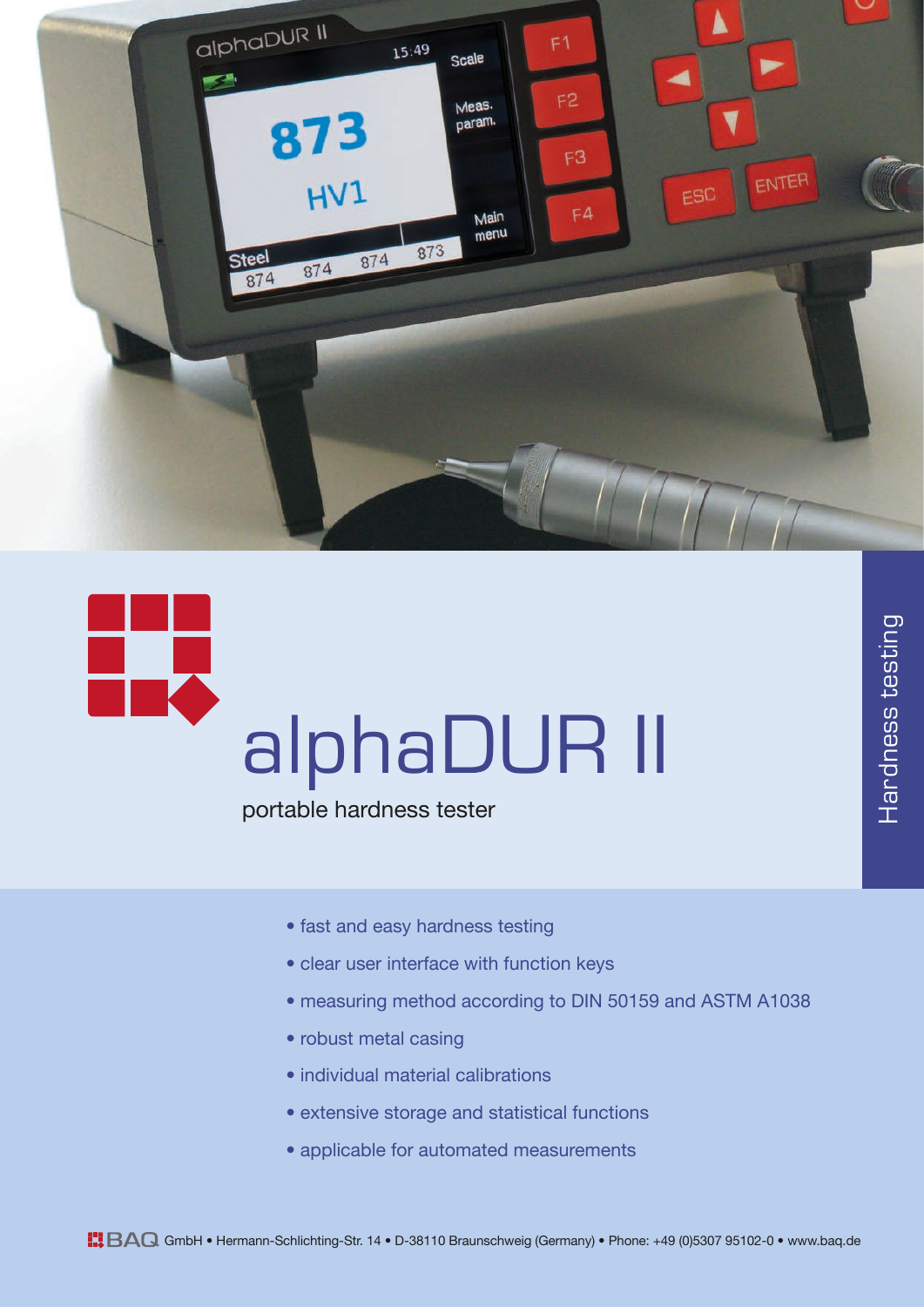

# Ŧ alphaDUR II

portable hardness tester

- fast and easy hardness testing
- clear user interface with function keys
- measuring method according to DIN 50159 and ASTM A1038
- robust metal casing
- individual material calibrations
- extensive storage and statistical functions
- applicable for automated measurements